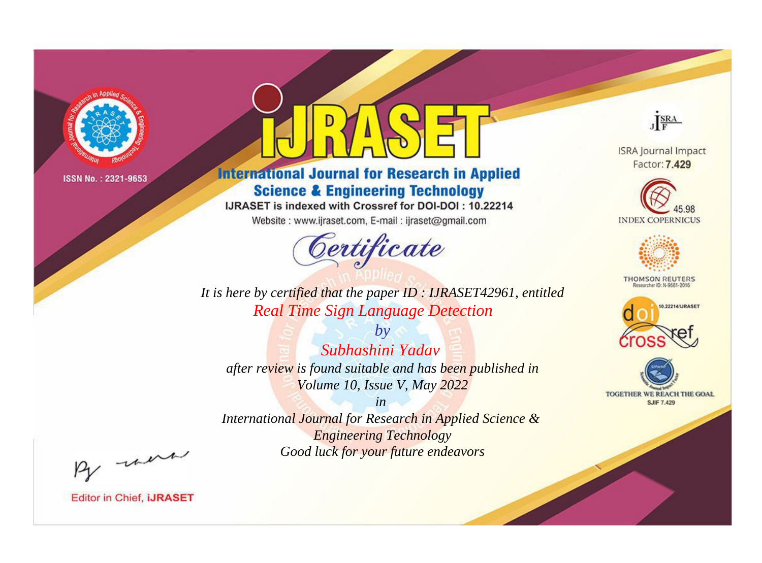

# **International Journal for Research in Applied Science & Engineering Technology**

IJRASET is indexed with Crossref for DOI-DOI: 10.22214

Website: www.ijraset.com, E-mail: ijraset@gmail.com



JERA

**ISRA Journal Impact** Factor: 7.429





**THOMSON REUTERS** 



TOGETHER WE REACH THE GOAL **SJIF 7.429** 

*It is here by certified that the paper ID : IJRASET42961, entitled Real Time Sign Language Detection*

*by Subhashini Yadav after review is found suitable and has been published in Volume 10, Issue V, May 2022*

*in* 

*International Journal for Research in Applied Science & Engineering Technology Good luck for your future endeavors*

By morn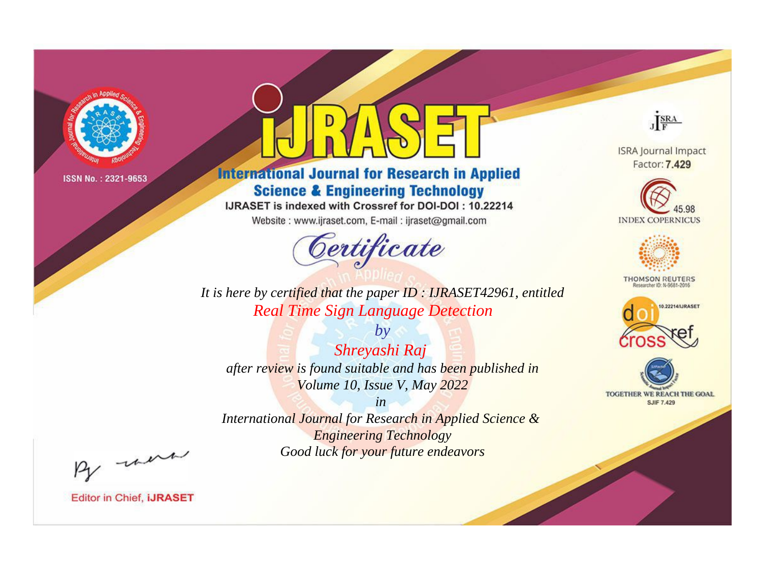

# **International Journal for Research in Applied Science & Engineering Technology**

IJRASET is indexed with Crossref for DOI-DOI: 10.22214

Website: www.ijraset.com, E-mail: ijraset@gmail.com



**ISRA Journal Impact** Factor: 7.429

JERA





**THOMSON REUTERS** 



TOGETHER WE REACH THE GOAL **SJIF 7.429** 

*It is here by certified that the paper ID : IJRASET42961, entitled Real Time Sign Language Detection*

*by Shreyashi Raj after review is found suitable and has been published in Volume 10, Issue V, May 2022*

*in* 

*International Journal for Research in Applied Science & Engineering Technology Good luck for your future endeavors*

By morn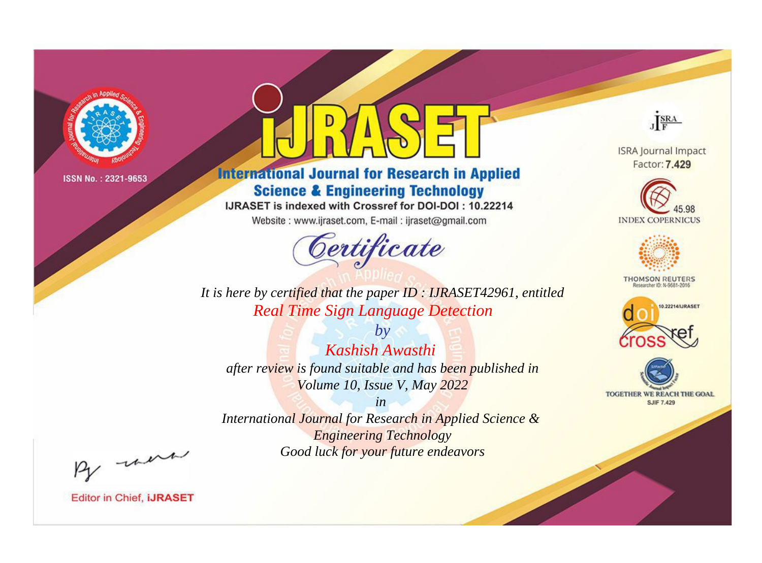

# **International Journal for Research in Applied Science & Engineering Technology**

IJRASET is indexed with Crossref for DOI-DOI: 10.22214

Website: www.ijraset.com, E-mail: ijraset@gmail.com



**ISRA Journal Impact** Factor: 7.429

JERA

**INDEX COPERNICUS** 



**THOMSON REUTERS** 



TOGETHER WE REACH THE GOAL **SJIF 7.429** 

*It is here by certified that the paper ID : IJRASET42961, entitled Real Time Sign Language Detection*

*by Kashish Awasthi after review is found suitable and has been published in Volume 10, Issue V, May 2022*

*in* 

*International Journal for Research in Applied Science & Engineering Technology Good luck for your future endeavors*

By morn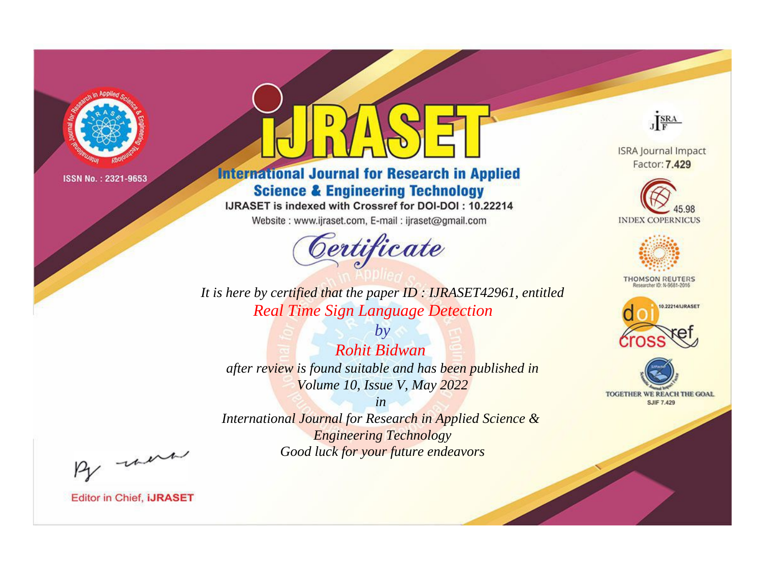

# **International Journal for Research in Applied Science & Engineering Technology**

IJRASET is indexed with Crossref for DOI-DOI: 10.22214

Website: www.ijraset.com, E-mail: ijraset@gmail.com



**ISRA Journal Impact** Factor: 7.429

JERA





**THOMSON REUTERS** 



TOGETHER WE REACH THE GOAL **SJIF 7.429** 

*It is here by certified that the paper ID : IJRASET42961, entitled Real Time Sign Language Detection*

*by Rohit Bidwan after review is found suitable and has been published in Volume 10, Issue V, May 2022*

*in* 

*International Journal for Research in Applied Science & Engineering Technology Good luck for your future endeavors*

By morn